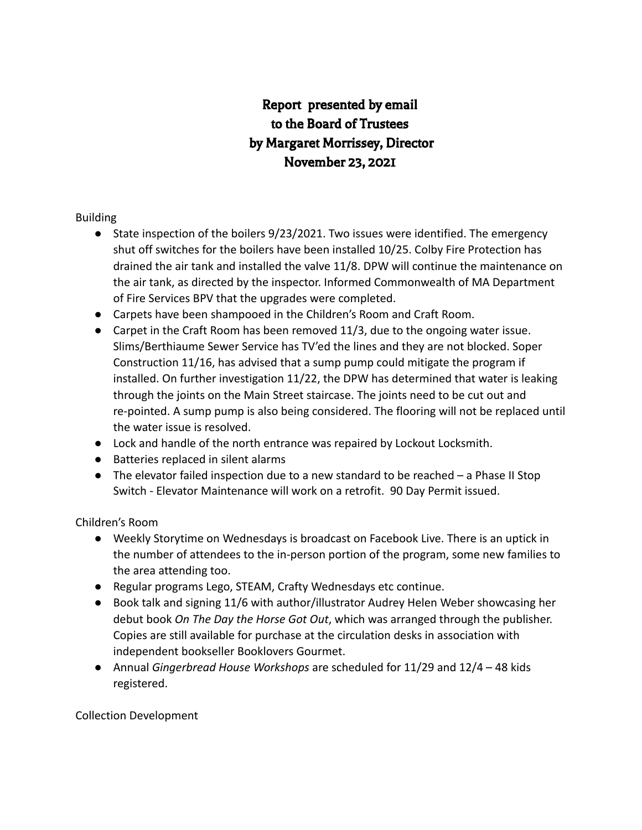# Report presented by email to the Board of Trustees by Margaret Morrissey, Director November 23, 2021

## Building

- State inspection of the boilers 9/23/2021. Two issues were identified. The emergency shut off switches for the boilers have been installed 10/25. Colby Fire Protection has drained the air tank and installed the valve 11/8. DPW will continue the maintenance on the air tank, as directed by the inspector. Informed Commonwealth of MA Department of Fire Services BPV that the upgrades were completed.
- Carpets have been shampooed in the Children's Room and Craft Room.
- Carpet in the Craft Room has been removed 11/3, due to the ongoing water issue. Slims/Berthiaume Sewer Service has TV'ed the lines and they are not blocked. Soper Construction 11/16, has advised that a sump pump could mitigate the program if installed. On further investigation 11/22, the DPW has determined that water is leaking through the joints on the Main Street staircase. The joints need to be cut out and re-pointed. A sump pump is also being considered. The flooring will not be replaced until the water issue is resolved.
- Lock and handle of the north entrance was repaired by Lockout Locksmith.
- Batteries replaced in silent alarms
- $\bullet$  The elevator failed inspection due to a new standard to be reached  $-$  a Phase II Stop Switch - Elevator Maintenance will work on a retrofit. 90 Day Permit issued.

Children's Room

- Weekly Storytime on Wednesdays is broadcast on Facebook Live. There is an uptick in the number of attendees to the in-person portion of the program, some new families to the area attending too.
- Regular programs Lego, STEAM, Crafty Wednesdays etc continue.
- Book talk and signing 11/6 with author/illustrator Audrey Helen Weber showcasing her debut book *On The Day the Horse Got Out*, which was arranged through the publisher. Copies are still available for purchase at the circulation desks in association with independent bookseller Booklovers Gourmet.
- Annual *Gingerbread House Workshops* are scheduled for 11/29 and 12/4 48 kids registered.

Collection Development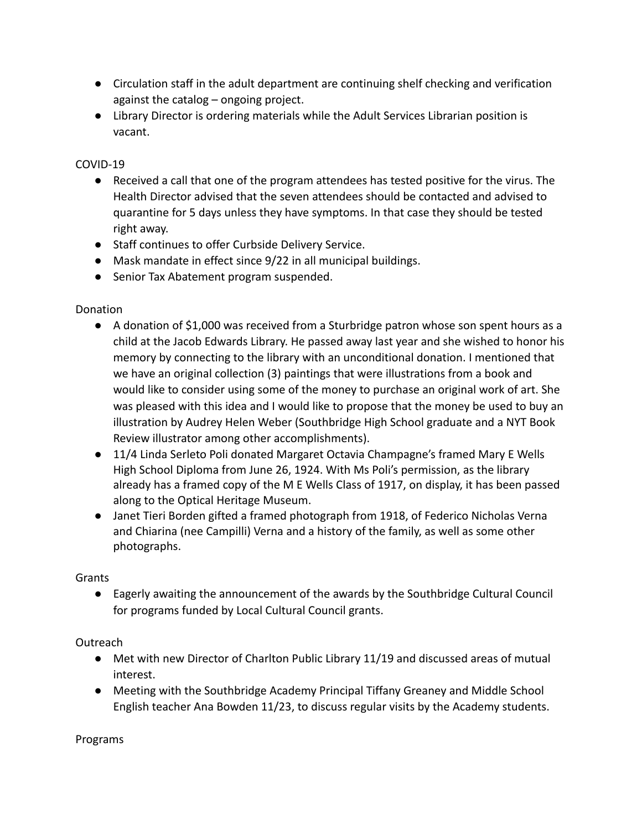- Circulation staff in the adult department are continuing shelf checking and verification against the catalog – ongoing project.
- Library Director is ordering materials while the Adult Services Librarian position is vacant.

## COVID-19

- Received a call that one of the program attendees has tested positive for the virus. The Health Director advised that the seven attendees should be contacted and advised to quarantine for 5 days unless they have symptoms. In that case they should be tested right away.
- Staff continues to offer Curbside Delivery Service.
- Mask mandate in effect since 9/22 in all municipal buildings.
- Senior Tax Abatement program suspended.

#### Donation

- A donation of \$1,000 was received from a Sturbridge patron whose son spent hours as a child at the Jacob Edwards Library. He passed away last year and she wished to honor his memory by connecting to the library with an unconditional donation. I mentioned that we have an original collection (3) paintings that were illustrations from a book and would like to consider using some of the money to purchase an original work of art. She was pleased with this idea and I would like to propose that the money be used to buy an illustration by Audrey Helen Weber (Southbridge High School graduate and a NYT Book Review illustrator among other accomplishments).
- 11/4 Linda Serleto Poli donated Margaret Octavia Champagne's framed Mary E Wells High School Diploma from June 26, 1924. With Ms Poli's permission, as the library already has a framed copy of the M E Wells Class of 1917, on display, it has been passed along to the Optical Heritage Museum.
- Janet Tieri Borden gifted a framed photograph from 1918, of Federico Nicholas Verna and Chiarina (nee Campilli) Verna and a history of the family, as well as some other photographs.

#### **Grants**

● Eagerly awaiting the announcement of the awards by the Southbridge Cultural Council for programs funded by Local Cultural Council grants.

#### Outreach

- Met with new Director of Charlton Public Library 11/19 and discussed areas of mutual interest.
- Meeting with the Southbridge Academy Principal Tiffany Greaney and Middle School English teacher Ana Bowden 11/23, to discuss regular visits by the Academy students.

Programs